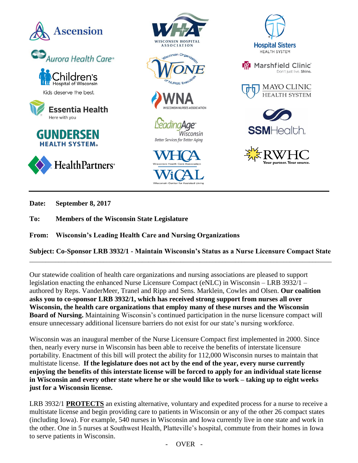

**Date: September 8, 2017**

**To: Members of the Wisconsin State Legislature**

**From: Wisconsin's Leading Health Care and Nursing Organizations**

**Subject: Co-Sponsor LRB 3932/1 - Maintain Wisconsin's Status as a Nurse Licensure Compact State**  $\_$  ,  $\_$  ,  $\_$  ,  $\_$  ,  $\_$  ,  $\_$  ,  $\_$  ,  $\_$  ,  $\_$  ,  $\_$  ,  $\_$  ,  $\_$  ,  $\_$  ,  $\_$  ,  $\_$  ,  $\_$  ,  $\_$  ,  $\_$  ,  $\_$  ,  $\_$  ,  $\_$  ,  $\_$  ,  $\_$  ,  $\_$  ,  $\_$  ,  $\_$  ,  $\_$  ,  $\_$  ,  $\_$  ,  $\_$  ,  $\_$  ,  $\_$  ,  $\_$  ,  $\_$  ,  $\_$  ,  $\_$  ,  $\_$  ,

Our statewide coalition of health care organizations and nursing associations are pleased to support legislation enacting the enhanced Nurse Licensure Compact (eNLC) in Wisconsin – LRB 3932/1 – authored by Reps. VanderMeer, Tranel and Ripp and Sens. Marklein, Cowles and Olsen. **Our coalition asks you to co-sponsor LRB 3932/1, which has received strong support from nurses all over Wisconsin, the health care organizations that employ many of these nurses and the Wisconsin Board of Nursing.** Maintaining Wisconsin's continued participation in the nurse licensure compact will ensure unnecessary additional licensure barriers do not exist for our state's nursing workforce.

Wisconsin was an inaugural member of the Nurse Licensure Compact first implemented in 2000. Since then, nearly every nurse in Wisconsin has been able to receive the benefits of interstate licensure portability. Enactment of this bill will protect the ability for 112,000 Wisconsin nurses to maintain that multistate license. **If the legislature does not act by the end of the year, every nurse currently enjoying the benefits of this interstate license will be forced to apply for an individual state license in Wisconsin and every other state where he or she would like to work – taking up to eight weeks just for a Wisconsin license.**

LRB 3932/1 **PROTECTS** an existing alternative, voluntary and expedited process for a nurse to receive a multistate license and begin providing care to patients in Wisconsin or any of the other 26 compact states (including Iowa). For example, 540 nurses in Wisconsin and Iowa currently live in one state and work in the other. One in 5 nurses at Southwest Health, Platteville's hospital, commute from their homes in Iowa to serve patients in Wisconsin.